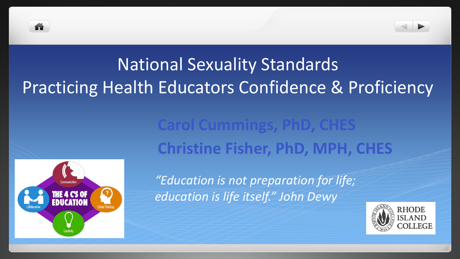

# National Sexuality Standards Practicing Health Educators Confidence & Proficiency

# **Carol Cummings, PhD, CHES Christine Fisher, PhD, MPH, CHES**



*"Education is not preparation for life; education is life itself." John Dewy*

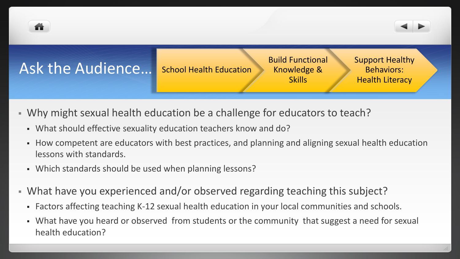



### Ask the Audience…

School Health Education

Build Functional Knowledge & **Skills** 

Support Healthy Behaviors: Health Literacy

- Why might sexual health education be a challenge for educators to teach?
	- What should effective sexuality education teachers know and do?
	- How competent are educators with best practices, and planning and aligning sexual health education lessons with standards.
	- Which standards should be used when planning lessons?
- What have you experienced and/or observed regarding teaching this subject?
	- Factors affecting teaching K-12 sexual health education in your local communities and schools.
	- What have you heard or observed from students or the community that suggest a need for sexual health education?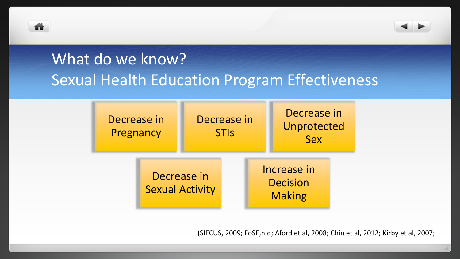



# What do we know? Sexual Health Education Program Effectiveness



(SIECUS, 2009; FoSE,n.d; Aford et al, 2008; Chin et al, 2012; Kirby et al, 2007;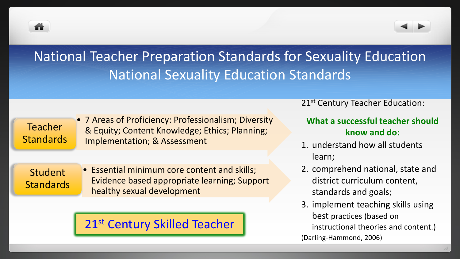



## National Teacher Preparation Standards for Sexuality Education National Sexuality Education Standards

Teacher **Standards**  • 7 Areas of Proficiency: Professionalism; Diversity & Equity; Content Knowledge; Ethics; Planning; Implementation; & Assessment

Student **Standards**  • Essential minimum core content and skills; Evidence based appropriate learning; Support healthy sexual development

### 21st Century Skilled Teacher

21<sup>st</sup> Century Teacher Education:

#### **What a successful teacher should know and do:**

- 1. understand how all students learn;
- 2. comprehend national, state and district curriculum content, standards and goals;
- 3. implement teaching skills using best practices (based on instructional theories and content.) (Darling-Hammond, 2006)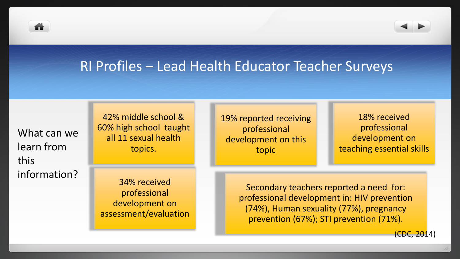



What can we learn from this information?

42% middle school & 60% high school taught all 11 sexual health topics.

34% received professional development on assessment/evaluation 19% reported receiving professional development on this topic

18% received professional development on teaching essential skills

Secondary teachers reported a need for: professional development in: HIV prevention (74%), Human sexuality (77%), pregnancy prevention (67%); STI prevention (71%).

(CDC, 2014)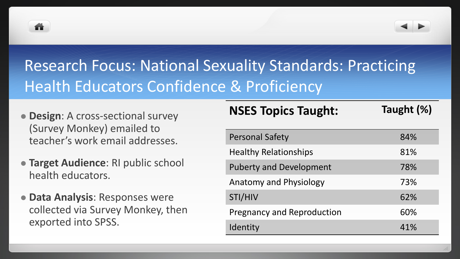



# Research Focus: National Sexuality Standards: Practicing Health Educators Confidence & Proficiency

- **Design**: A cross-sectional survey (Survey Monkey) emailed to teacher's work email addresses.
- **Target Audience**: RI public school health educators.
- **Data Analysis**: Responses were collected via Survey Monkey, then exported into SPSS.

### **NSES Topics Taught: Taught (%)**

| <b>Personal Safety</b>            | 84% |
|-----------------------------------|-----|
| <b>Healthy Relationships</b>      | 81% |
| <b>Puberty and Development</b>    | 78% |
| <b>Anatomy and Physiology</b>     | 73% |
| STI/HIV                           | 62% |
| <b>Pregnancy and Reproduction</b> | 60% |
| Identity                          | 41% |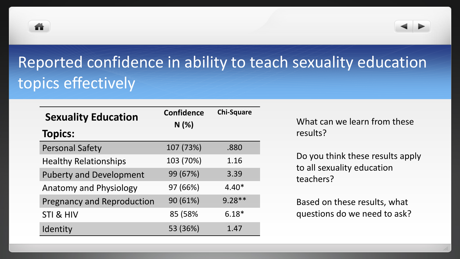



# Reported confidence in ability to teach sexuality education topics effectively

| <b>Sexuality Education</b>        | <b>Confidence</b> | <b>Chi-Square</b> |
|-----------------------------------|-------------------|-------------------|
| <b>Topics:</b>                    | N(%)              |                   |
| <b>Personal Safety</b>            | 107 (73%)         | .880              |
| <b>Healthy Relationships</b>      | 103 (70%)         | 1.16              |
| <b>Puberty and Development</b>    | 99 (67%)          | 3.39              |
| <b>Anatomy and Physiology</b>     | 97 (66%)          | $4.40*$           |
| <b>Pregnancy and Reproduction</b> | 90 (61%)          | $9.28**$          |
| STI & HIV                         | 85 (58%           | $6.18*$           |
| Identity                          | 53 (36%)          | 1.47              |

What can we learn from these results?

Do you think these results apply to all sexuality education teachers?

Based on these results, what questions do we need to ask?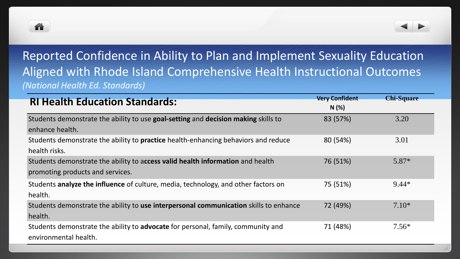



### Reported Confidence in Ability to Plan and Implement Sexuality Education Aligned with Rhode Island Comprehensive Health Instructional Outcomes *(National Health Ed. Standards)*

| <b>RI Health Education Standards:</b>                                                     | <b>Very Confident</b><br>N(%) | <b>Chi-Square</b> |
|-------------------------------------------------------------------------------------------|-------------------------------|-------------------|
| Students demonstrate the ability to use goal-setting and decision making skills to        | 83 (57%)                      | 3.20              |
| enhance health.                                                                           |                               |                   |
| Students demonstrate the ability to <b>practice</b> health-enhancing behaviors and reduce | 80 (54%)                      | 3.01              |
| health risks.                                                                             |                               |                   |
| Students demonstrate the ability to access valid health information and health            | 76 (51%)                      | 5.87*             |
| promoting products and services.                                                          |                               |                   |
| Students analyze the influence of culture, media, technology, and other factors on        | 75 (51%)                      | $9.44*$           |
| health.                                                                                   |                               |                   |
| Students demonstrate the ability to use interpersonal communication skills to enhance     | 72 (49%)                      | $7.10*$           |
| health.                                                                                   |                               |                   |
| Students demonstrate the ability to <b>advocate</b> for personal, family, community and   | 71 (48%)                      | $7.56*$           |
| environmental health.                                                                     |                               |                   |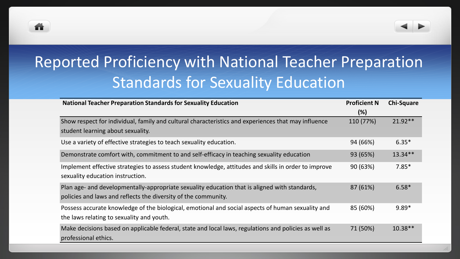



## Reported Proficiency with National Teacher Preparation Standards for Sexuality Education

| <b>National Teacher Preparation Standards for Sexuality Education</b>                                 | <b>Proficient N</b> | <b>Chi-Square</b> |
|-------------------------------------------------------------------------------------------------------|---------------------|-------------------|
|                                                                                                       | (%)                 |                   |
| Show respect for individual, family and cultural characteristics and experiences that may influence   | 110 (77%)           | $21.92**$         |
| student learning about sexuality.                                                                     |                     |                   |
| Use a variety of effective strategies to teach sexuality education.                                   | 94 (66%)            | $6.35*$           |
| Demonstrate comfort with, commitment to and self-efficacy in teaching sexuality education             | 93 (65%)            | $13.34**$         |
| Implement effective strategies to assess student knowledge, attitudes and skills in order to improve  | 90 (63%)            | $7.85*$           |
| sexuality education instruction.                                                                      |                     |                   |
| Plan age- and developmentally-appropriate sexuality education that is aligned with standards,         | 87 (61%)            | $6.58*$           |
| policies and laws and reflects the diversity of the community.                                        |                     |                   |
| Possess accurate knowledge of the biological, emotional and social aspects of human sexuality and     | 85 (60%)            | $9.89*$           |
| the laws relating to sexuality and youth.                                                             |                     |                   |
| Make decisions based on applicable federal, state and local laws, regulations and policies as well as | 71 (50%)            | $10.38**$         |
| professional ethics.                                                                                  |                     |                   |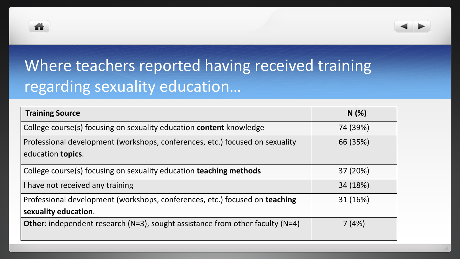



# Where teachers reported having received training regarding sexuality education…

| <b>Training Source</b>                                                                                    | N(%)     |
|-----------------------------------------------------------------------------------------------------------|----------|
| College course(s) focusing on sexuality education <b>content</b> knowledge                                | 74 (39%) |
| Professional development (workshops, conferences, etc.) focused on sexuality<br>education <b>topics</b> . | 66 (35%) |
| College course(s) focusing on sexuality education teaching methods                                        | 37 (20%) |
| I have not received any training                                                                          | 34 (18%) |
| Professional development (workshops, conferences, etc.) focused on teaching<br>sexuality education.       | 31 (16%) |
| <b>Other:</b> independent research (N=3), sought assistance from other faculty (N=4)                      | 7(4%)    |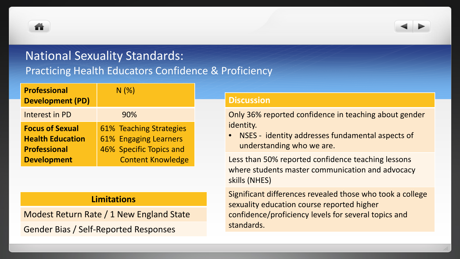m



### National Sexuality Standards:

#### Practicing Health Educators Confidence & Proficiency

| <b>Professional</b><br><b>Development (PD)</b>                                                 | N(%                                                                                                     |
|------------------------------------------------------------------------------------------------|---------------------------------------------------------------------------------------------------------|
| Interest in PD                                                                                 | 90%                                                                                                     |
| <b>Focus of Sexual</b><br><b>Health Education</b><br><b>Professional</b><br><b>Development</b> | 61% Teaching Strategies<br>61% Engaging Learners<br>46% Specific Topics and<br><b>Content Knowledge</b> |

#### **Limitations**

Modest Return Rate / 1 New England State Gender Bias / Self-Reported Responses

#### **Discussion**

Only 36% reported confidence in teaching about gender identity.

• NSES - identity addresses fundamental aspects of understanding who we are.

Less than 50% reported confidence teaching lessons where students master communication and advocacy skills (NHES)

Significant differences revealed those who took a college sexuality education course reported higher confidence/proficiency levels for several topics and standards.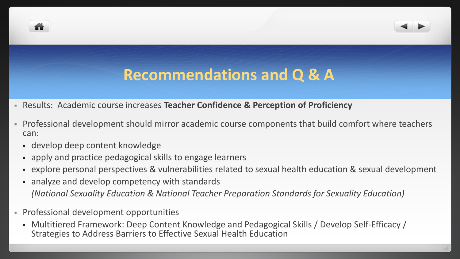## **Recommendations and Q & A**

- Results: Academic course increases **Teacher Confidence & Perception of Proficiency**
- Professional development should mirror academic course components that build comfort where teachers can:
	- develop deep content knowledge
	- apply and practice pedagogical skills to engage learners
	- explore personal perspectives & vulnerabilities related to sexual health education & sexual development
	- analyze and develop competency with standards *(National Sexuality Education & National Teacher Preparation Standards for Sexuality Education)*
- Professional development opportunities
	- Multitiered Framework: Deep Content Knowledge and Pedagogical Skills / Develop Self-Efficacy / Strategies to Address Barriers to Effective Sexual Health Education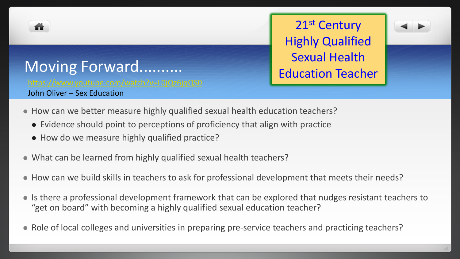

Moving Forward..........

John Oliver – Sex Education

21st Century Highly Qualified Sexual Health Education Teacher



- How can we better measure highly qualified sexual health education teachers?
	- Evidence should point to perceptions of proficiency that align with practice
	- How do we measure highly qualified practice?
	- What can be learned from highly qualified sexual health teachers?
	- How can we build skills in teachers to ask for professional development that meets their needs?
	- Is there a professional development framework that can be explored that nudges resistant teachers to "get on board" with becoming a highly qualified sexual education teacher?
	- Role of local colleges and universities in preparing pre-service teachers and practicing teachers?